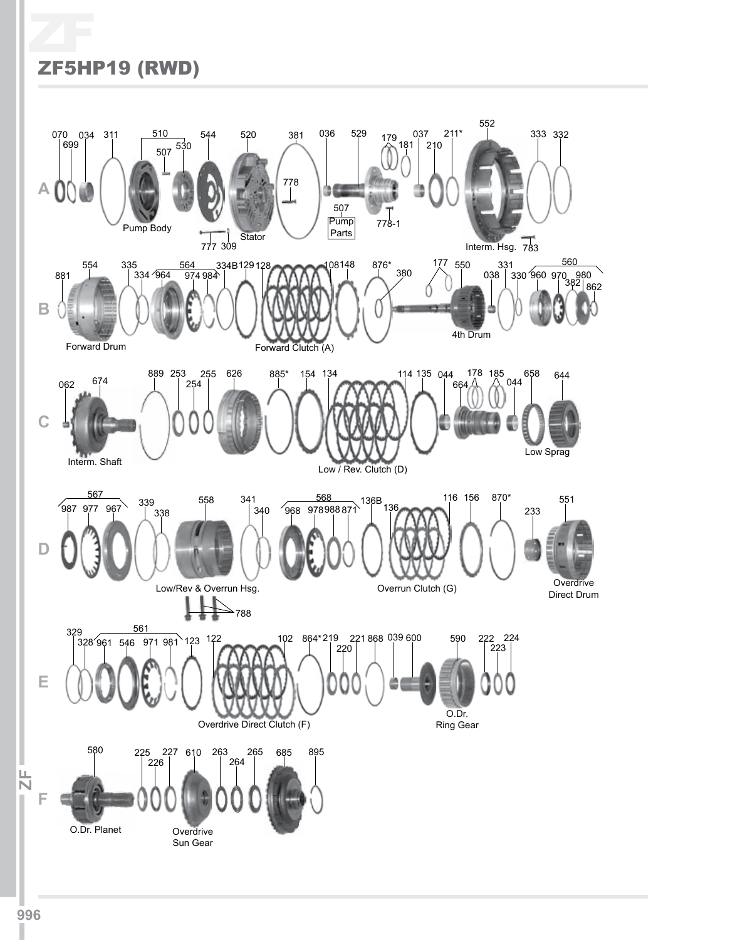# ZF ZF5HP19 (RWD)

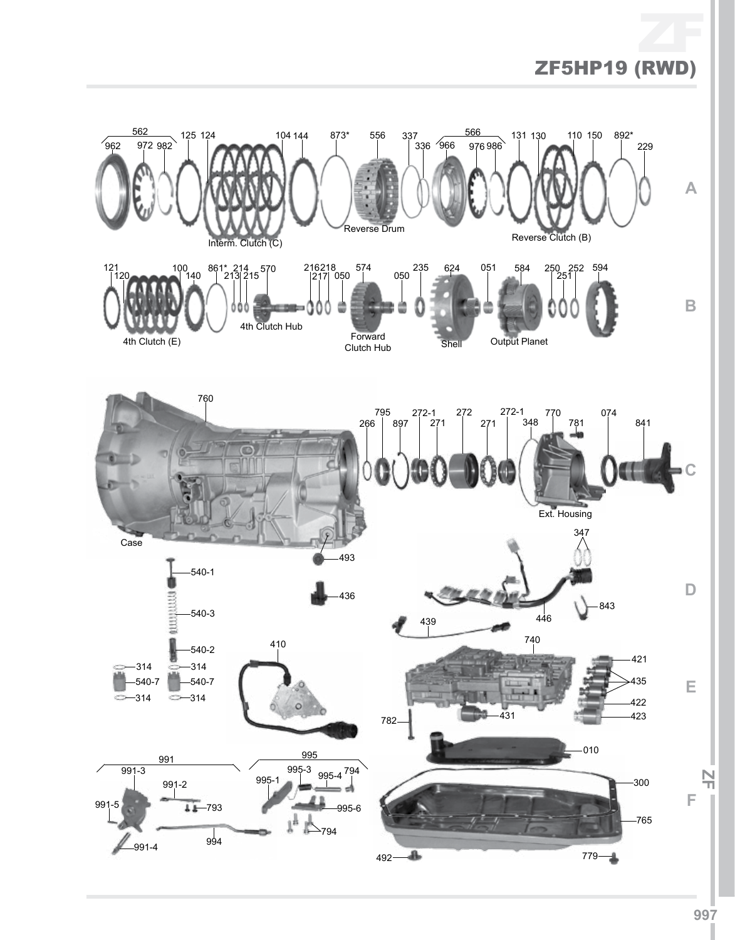# ZF ZF5HP19 (RWD)

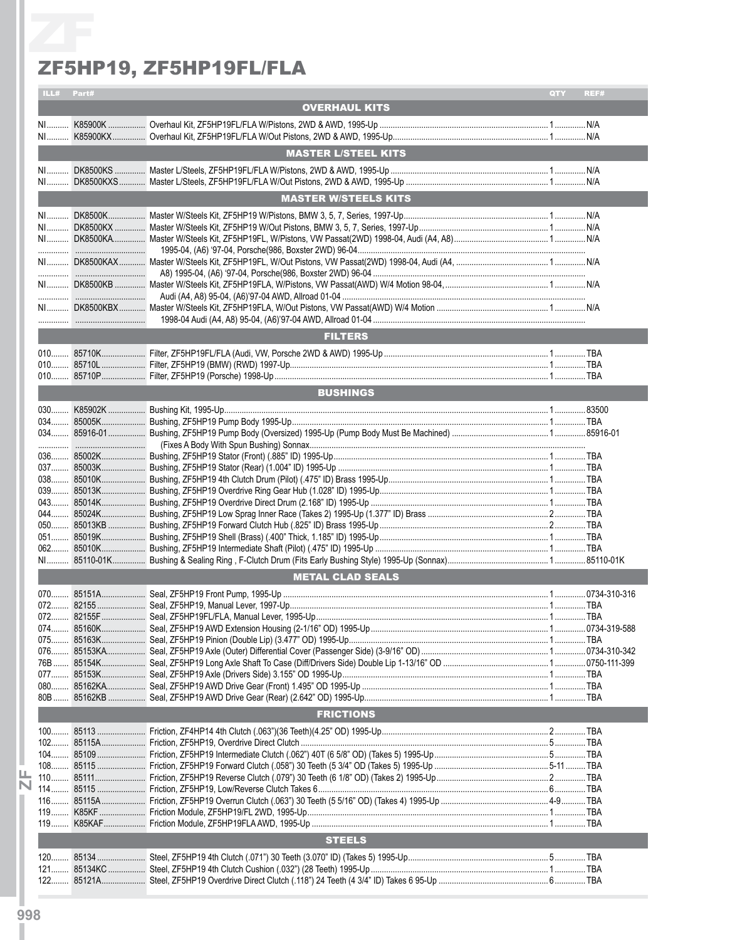### ZF5HP19, ZF5HP19FL/FLA

|            | ZF5HP19, ZF5HP19FL/FLA      |                                                                                                   |      |
|------------|-----------------------------|---------------------------------------------------------------------------------------------------|------|
| ILL# Part# |                             | QTY <b>Q</b>                                                                                      | REF# |
|            | <b>OVERHAUL KITS</b>        |                                                                                                   |      |
|            |                             |                                                                                                   |      |
|            |                             |                                                                                                   |      |
|            | <b>MASTER L/STEEL KITS</b>  |                                                                                                   |      |
|            |                             |                                                                                                   |      |
|            |                             |                                                                                                   |      |
|            | <b>MASTER W/STEELS KITS</b> |                                                                                                   |      |
|            |                             |                                                                                                   |      |
|            |                             |                                                                                                   |      |
|            |                             |                                                                                                   |      |
|            |                             |                                                                                                   |      |
|            |                             |                                                                                                   |      |
|            |                             |                                                                                                   |      |
|            |                             |                                                                                                   |      |
|            |                             |                                                                                                   |      |
|            |                             |                                                                                                   |      |
|            |                             |                                                                                                   |      |
|            |                             |                                                                                                   |      |
|            |                             |                                                                                                   |      |
|            |                             |                                                                                                   |      |
|            |                             |                                                                                                   |      |
|            |                             |                                                                                                   |      |
|            |                             |                                                                                                   |      |
|            |                             |                                                                                                   |      |
|            |                             |                                                                                                   |      |
|            |                             |                                                                                                   |      |
|            |                             |                                                                                                   |      |
|            |                             |                                                                                                   |      |
|            |                             |                                                                                                   |      |
|            |                             |                                                                                                   |      |
|            |                             |                                                                                                   |      |
|            |                             |                                                                                                   |      |
|            |                             |                                                                                                   |      |
|            |                             |                                                                                                   |      |
|            |                             |                                                                                                   |      |
|            |                             |                                                                                                   |      |
|            |                             |                                                                                                   |      |
|            |                             |                                                                                                   |      |
|            |                             |                                                                                                   |      |
|            |                             |                                                                                                   |      |
|            |                             |                                                                                                   |      |
|            |                             |                                                                                                   |      |
|            |                             |                                                                                                   |      |
|            |                             |                                                                                                   |      |
|            |                             |                                                                                                   |      |
|            |                             |                                                                                                   |      |
|            |                             |                                                                                                   |      |
|            |                             |                                                                                                   |      |
|            |                             |                                                                                                   |      |
|            |                             |                                                                                                   |      |
|            |                             |                                                                                                   |      |
|            | 85010K<br><b>062</b>        | <b>FILTERS</b><br><b>BUSHINGS</b><br><b>METAL CLAD SEALS</b><br><b>FRICTIONS</b><br><b>STEELS</b> |      |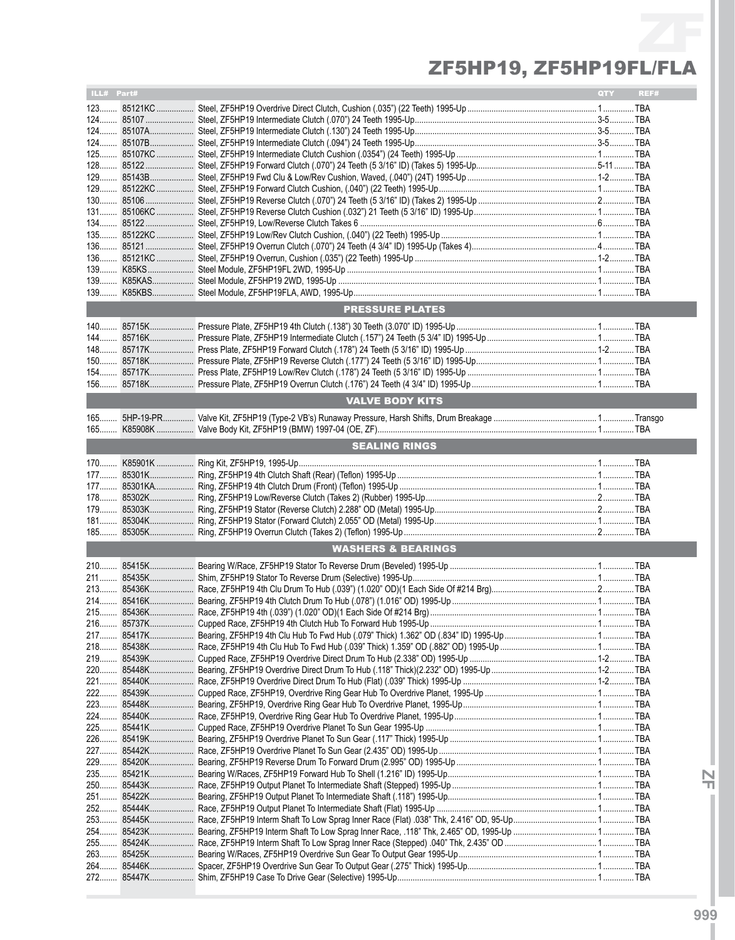# ZF ZF5HP19, ZF5HP19FL/FLA

| ILL# Part# |                               | QTY | REF# |
|------------|-------------------------------|-----|------|
|            |                               |     |      |
|            |                               |     |      |
|            |                               |     |      |
|            |                               |     |      |
|            |                               |     |      |
|            |                               |     |      |
|            |                               |     |      |
|            |                               |     |      |
|            |                               |     |      |
|            |                               |     |      |
|            |                               |     |      |
|            |                               |     |      |
|            |                               |     |      |
|            |                               |     |      |
|            |                               |     |      |
|            |                               |     |      |
|            | <b>PRESSURE PLATES</b>        |     |      |
|            |                               |     |      |
|            |                               |     |      |
|            |                               |     |      |
|            |                               |     |      |
|            |                               |     |      |
|            |                               |     |      |
|            | <b>VALVE BODY KITS</b>        |     |      |
|            |                               |     |      |
|            |                               |     |      |
|            | <b>SEALING RINGS</b>          |     |      |
|            |                               |     |      |
|            |                               |     |      |
|            |                               |     |      |
|            |                               |     |      |
|            |                               |     |      |
|            |                               |     |      |
|            |                               |     |      |
|            | <b>WASHERS &amp; BEARINGS</b> |     |      |
|            |                               |     |      |
|            |                               |     |      |
|            |                               |     |      |
|            |                               |     |      |
|            |                               |     |      |
|            |                               |     |      |
|            |                               |     |      |
|            |                               |     |      |
|            |                               |     |      |
|            |                               |     |      |
|            |                               |     |      |
|            |                               |     |      |
|            |                               |     |      |
|            |                               |     |      |
|            |                               |     |      |
|            |                               |     |      |
|            |                               |     |      |
|            |                               |     |      |
|            |                               |     |      |
|            |                               |     |      |
|            |                               |     |      |
|            |                               |     |      |
|            |                               |     |      |
|            |                               |     |      |
|            |                               |     |      |
|            |                               |     |      |

**IZFI**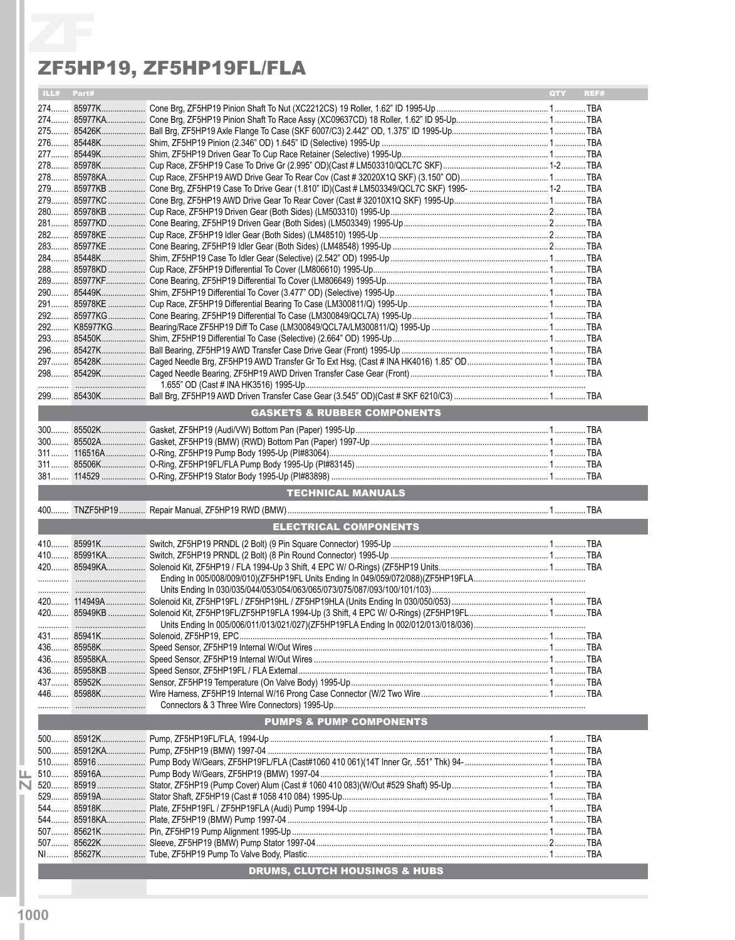### ZF5HP19, ZF5HP19FL/FLA

|            | ZF5HP19, ZF5HP19FL/FLA                 |            |      |
|------------|----------------------------------------|------------|------|
| ILL# Part# |                                        | <b>OTY</b> | REF# |
|            |                                        |            |      |
|            |                                        |            |      |
|            |                                        |            |      |
|            |                                        |            |      |
|            |                                        |            |      |
|            |                                        |            |      |
|            |                                        |            |      |
|            |                                        |            |      |
|            |                                        |            |      |
|            |                                        |            |      |
|            |                                        |            |      |
|            |                                        |            |      |
|            |                                        |            |      |
|            |                                        |            |      |
|            |                                        |            |      |
|            |                                        |            |      |
|            |                                        |            |      |
|            |                                        |            |      |
|            |                                        |            |      |
|            |                                        |            |      |
|            |                                        |            |      |
|            |                                        |            |      |
|            |                                        |            |      |
|            | <b>GASKETS &amp; RUBBER COMPONENTS</b> |            |      |
|            |                                        |            |      |
|            |                                        |            |      |
|            |                                        |            |      |
|            |                                        |            |      |
|            |                                        |            |      |
|            | <b>TECHNICAL MANUALS</b>               |            |      |
|            |                                        |            |      |
|            | ELECTRICAL COMPONENTS                  |            |      |
|            |                                        |            |      |
|            |                                        |            |      |
|            |                                        |            |      |
|            |                                        |            |      |
|            |                                        |            |      |
|            |                                        |            |      |
|            |                                        |            |      |
|            |                                        |            |      |
|            |                                        |            |      |
|            |                                        |            |      |
|            |                                        |            |      |
|            |                                        |            |      |
|            |                                        |            |      |
|            |                                        |            |      |
|            |                                        |            |      |
|            | <b>PUMPS &amp; PUMP COMPONENTS</b>     |            |      |
|            |                                        |            |      |
|            |                                        |            |      |
|            |                                        |            |      |
|            |                                        |            |      |
|            |                                        |            |      |
|            |                                        |            |      |
|            |                                        |            |      |
|            |                                        |            |      |
|            |                                        |            |      |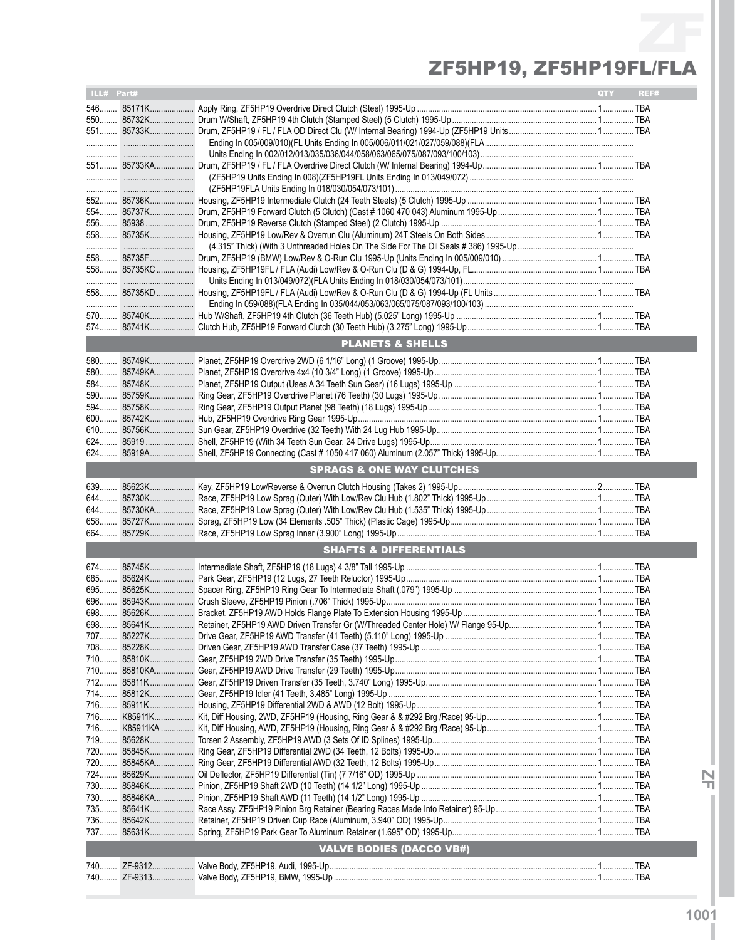# ZF ZF5HP19, ZF5HP19FL/FLA

| 556 85938<br><b>PLANETS &amp; SHELLS</b><br><b>SPRAGS &amp; ONE WAY CLUTCHES</b><br><b>SHAFTS &amp; DIFFERENTIALS</b><br>695<br>708<br><b>VALVE BODIES (DACCO VB#)</b> | ILL# Part# |  | QTY | REF# |
|------------------------------------------------------------------------------------------------------------------------------------------------------------------------|------------|--|-----|------|
|                                                                                                                                                                        |            |  |     |      |
|                                                                                                                                                                        |            |  |     |      |
|                                                                                                                                                                        |            |  |     |      |
|                                                                                                                                                                        |            |  |     |      |
|                                                                                                                                                                        |            |  |     |      |
|                                                                                                                                                                        |            |  |     |      |
|                                                                                                                                                                        |            |  |     |      |
|                                                                                                                                                                        |            |  |     |      |
|                                                                                                                                                                        |            |  |     |      |
|                                                                                                                                                                        |            |  |     |      |
|                                                                                                                                                                        |            |  |     |      |
|                                                                                                                                                                        |            |  |     |      |
|                                                                                                                                                                        |            |  |     |      |
|                                                                                                                                                                        |            |  |     |      |
|                                                                                                                                                                        |            |  |     |      |
|                                                                                                                                                                        |            |  |     |      |
|                                                                                                                                                                        |            |  |     |      |
|                                                                                                                                                                        |            |  |     |      |
|                                                                                                                                                                        |            |  |     |      |
|                                                                                                                                                                        |            |  |     |      |
|                                                                                                                                                                        |            |  |     |      |
|                                                                                                                                                                        |            |  |     |      |
|                                                                                                                                                                        |            |  |     |      |
|                                                                                                                                                                        |            |  |     |      |
|                                                                                                                                                                        |            |  |     |      |
|                                                                                                                                                                        |            |  |     |      |
|                                                                                                                                                                        |            |  |     |      |
|                                                                                                                                                                        |            |  |     |      |
|                                                                                                                                                                        |            |  |     |      |
|                                                                                                                                                                        |            |  |     |      |
|                                                                                                                                                                        |            |  |     |      |
|                                                                                                                                                                        |            |  |     |      |
|                                                                                                                                                                        |            |  |     |      |
|                                                                                                                                                                        |            |  |     |      |
|                                                                                                                                                                        |            |  |     |      |
|                                                                                                                                                                        |            |  |     |      |
|                                                                                                                                                                        |            |  |     |      |
|                                                                                                                                                                        |            |  |     |      |
|                                                                                                                                                                        |            |  |     |      |
|                                                                                                                                                                        |            |  |     |      |
|                                                                                                                                                                        |            |  |     |      |
|                                                                                                                                                                        |            |  |     |      |
|                                                                                                                                                                        |            |  |     |      |
|                                                                                                                                                                        |            |  |     |      |
|                                                                                                                                                                        |            |  |     |      |
|                                                                                                                                                                        |            |  |     |      |
|                                                                                                                                                                        |            |  |     |      |
|                                                                                                                                                                        |            |  |     |      |
|                                                                                                                                                                        |            |  |     |      |
|                                                                                                                                                                        |            |  |     |      |
|                                                                                                                                                                        |            |  |     |      |
|                                                                                                                                                                        |            |  |     |      |
|                                                                                                                                                                        |            |  |     |      |
|                                                                                                                                                                        |            |  |     |      |
|                                                                                                                                                                        |            |  |     |      |
|                                                                                                                                                                        |            |  |     |      |
|                                                                                                                                                                        |            |  |     |      |
|                                                                                                                                                                        |            |  |     |      |
|                                                                                                                                                                        |            |  |     |      |
|                                                                                                                                                                        |            |  |     |      |
|                                                                                                                                                                        |            |  |     |      |
|                                                                                                                                                                        |            |  |     |      |

**IZFI**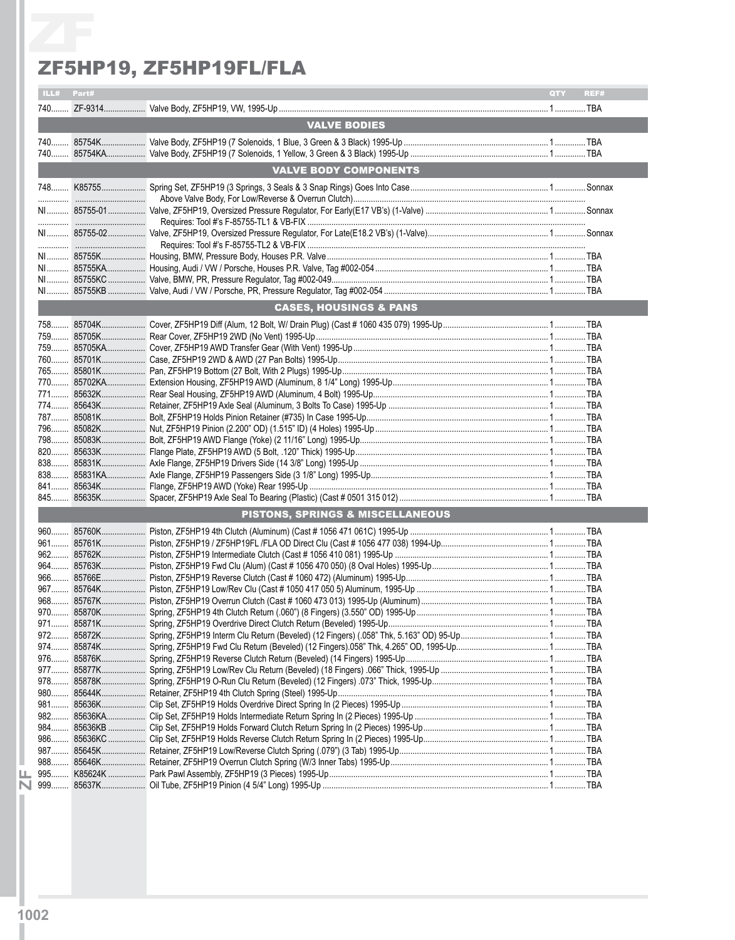#### ZF5HP19, ZF5HP19FL/FLA

|            | ZF5HP19, ZF5HP19FL/FLA            |     |      |
|------------|-----------------------------------|-----|------|
| ILL# Part# |                                   | QTY | REF# |
|            |                                   |     |      |
|            |                                   |     |      |
|            | <b>VALVE BODIES</b>               |     |      |
|            |                                   |     |      |
|            |                                   |     |      |
|            | <b>VALVE BODY COMPONENTS</b>      |     |      |
|            |                                   |     |      |
|            |                                   |     |      |
|            |                                   |     |      |
|            |                                   |     |      |
|            |                                   |     |      |
|            |                                   |     |      |
|            |                                   |     |      |
|            |                                   |     |      |
|            | <b>CASES, HOUSINGS &amp; PANS</b> |     |      |
|            |                                   |     |      |
|            |                                   |     |      |
|            |                                   |     |      |
|            |                                   |     |      |
|            |                                   |     |      |
|            |                                   |     |      |
|            |                                   |     |      |
|            |                                   |     |      |
|            |                                   |     |      |
|            |                                   |     |      |
|            |                                   |     |      |
|            |                                   |     |      |
|            |                                   |     |      |
|            |                                   |     |      |
|            |                                   |     |      |
|            | PISTONS, SPRINGS & MISCELLANEOUS  |     |      |
|            |                                   |     |      |
|            |                                   |     |      |
|            |                                   |     |      |
|            |                                   |     |      |
|            |                                   |     |      |
|            |                                   |     |      |
|            |                                   |     |      |
|            |                                   |     |      |
|            |                                   |     |      |
|            |                                   |     |      |
|            |                                   |     |      |
|            |                                   |     |      |
|            |                                   |     |      |
|            |                                   |     |      |
|            |                                   |     |      |
|            |                                   |     |      |
|            |                                   |     |      |
|            |                                   |     |      |
|            |                                   |     |      |
|            |                                   |     |      |
|            |                                   |     |      |